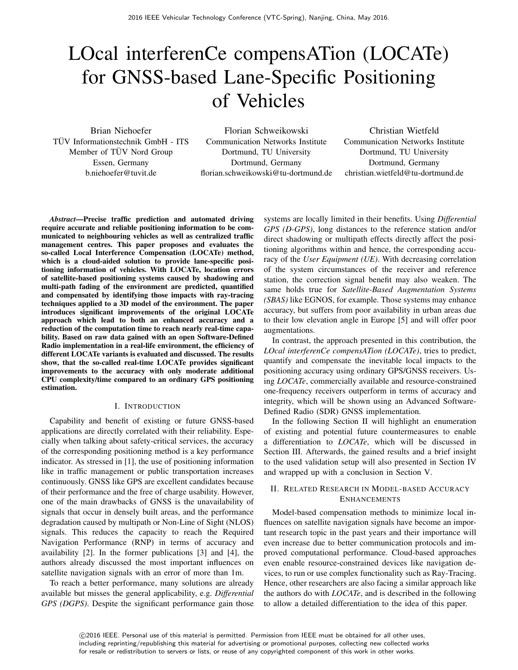# LOcal interferenCe compensATion (LOCATe) for GNSS-based Lane-Specific Positioning of Vehicles

Brian Niehoefer TUV Informationstechnik GmbH - ITS ¨ Member of TÜV Nord Group Essen, Germany b.niehoefer@tuvit.de

Florian Schweikowski Communication Networks Institute Dortmund, TU University Dortmund, Germany florian.schweikowski@tu-dortmund.de

Christian Wietfeld Communication Networks Institute Dortmund, TU University Dortmund, Germany christian.wietfeld@tu-dortmund.de

*Abstract*—Precise traffic prediction and automated driving require accurate and reliable positioning information to be communicated to neighbouring vehicles as well as centralized traffic management centres. This paper proposes and evaluates the so-called Local Interference Compensation (LOCATe) method, which is a cloud-aided solution to provide lane-specific positioning information of vehicles. With LOCATe, location errors of satellite-based positioning systems caused by shadowing and multi-path fading of the environment are predicted, quantified and compensated by identifying those impacts with ray-tracing techniques applied to a 3D model of the environment. The paper introduces significant improvements of the original LOCATe approach which lead to both an enhanced accuracy and a reduction of the computation time to reach nearly real-time capability. Based on raw data gained with an open Software-Defined Radio implementation in a real-life environment, the efficiency of different LOCATe variants is evaluated and discussed. The results show, that the so-called real-time LOCATe provides significant improvements to the accuracy with only moderate additional CPU complexity/time compared to an ordinary GPS positioning estimation.

#### I. INTRODUCTION

Capability and benefit of existing or future GNSS-based applications are directly correlated with their reliability. Especially when talking about safety-critical services, the accuracy of the corresponding positioning method is a key performance indicator. As stressed in [1], the use of positioning information like in traffic management or public transportation increases continuously. GNSS like GPS are excellent candidates because of their performance and the free of charge usability. However, one of the main drawbacks of GNSS is the unavailability of signals that occur in densely built areas, and the performance degradation caused by multipath or Non-Line of Sight (NLOS) signals. This reduces the capacity to reach the Required Navigation Performance (RNP) in terms of accuracy and availability [2]. In the former publications [3] and [4], the authors already discussed the most important influences on satellite navigation signals with an error of more than 1m.

To reach a better performance, many solutions are already available but misses the general applicability, e.g. *Differential GPS (DGPS)*. Despite the significant performance gain those

systems are locally limited in their benefits. Using *Differential GPS (D-GPS)*, long distances to the reference station and/or direct shadowing or multipath effects directly affect the positioning algorithms within and hence, the corresponding accuracy of the *User Equipment (UE)*. With decreasing correlation of the system circumstances of the receiver and reference station, the correction signal benefit may also weaken. The same holds true for *Satellite-Based Augmentation Systems (SBAS)* like EGNOS, for example. Those systems may enhance accuracy, but suffers from poor availability in urban areas due to their low elevation angle in Europe [5] and will offer poor augmentations.

In contrast, the approach presented in this contribution, the *LOcal interferenCe compensATion (LOCATe)*, tries to predict, quantify and compensate the inevitable local impacts to the positioning accuracy using ordinary GPS/GNSS receivers. Using *LOCATe*, commercially available and resource-constrained one-frequency receivers outperform in terms of accuracy and integrity, which will be shown using an Advanced Software-Defined Radio (SDR) GNSS implementation.

In the following Section II will highlight an enumeration of existing and potential future countermeasures to enable a differentiation to *LOCATe*, which will be discussed in Section III. Afterwards, the gained results and a brief insight to the used validation setup will also presented in Section IV and wrapped up with a conclusion in Section V.

# II. RELATED RESEARCH IN MODEL-BASED ACCURACY ENHANCEMENTS

Model-based compensation methods to minimize local influences on satellite navigation signals have become an important research topic in the past years and their importance will even increase due to better communication protocols and improved computational performance. Cloud-based approaches even enable resource-constrained devices like navigation devices, to run or use complex functionality such as Ray-Tracing. Hence, other researchers are also facing a similar approach like the authors do with *LOCATe*, and is described in the following to allow a detailed differentiation to the idea of this paper.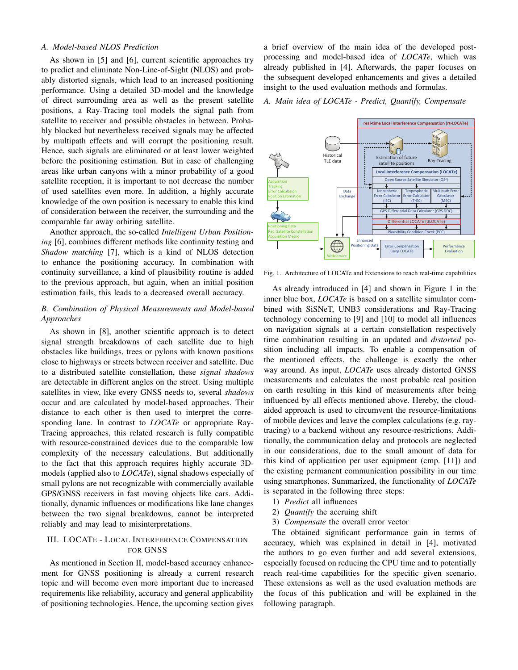## *A. Model-based NLOS Prediction*

As shown in [5] and [6], current scientific approaches try to predict and eliminate Non-Line-of-Sight (NLOS) and probably distorted signals, which lead to an increased positioning performance. Using a detailed 3D-model and the knowledge of direct surrounding area as well as the present satellite positions, a Ray-Tracing tool models the signal path from satellite to receiver and possible obstacles in between. Probably blocked but nevertheless received signals may be affected by multipath effects and will corrupt the positioning result. Hence, such signals are eliminated or at least lower weighted before the positioning estimation. But in case of challenging areas like urban canyons with a minor probability of a good satellite reception, it is important to not decrease the number of used satellites even more. In addition, a highly accurate knowledge of the own position is necessary to enable this kind of consideration between the receiver, the surrounding and the comparable far away orbiting satellite.

Another approach, the so-called *Intelligent Urban Positioning* [6], combines different methods like continuity testing and *Shadow matching* [7], which is a kind of NLOS detection to enhance the positioning accuracy. In combination with continuity surveillance, a kind of plausibility routine is added to the previous approach, but again, when an initial position estimation fails, this leads to a decreased overall accuracy.

# *B. Combination of Physical Measurements and Model-based Approaches*

As shown in [8], another scientific approach is to detect signal strength breakdowns of each satellite due to high obstacles like buildings, trees or pylons with known positions close to highways or streets between receiver and satellite. Due to a distributed satellite constellation, these *signal shadows* are detectable in different angles on the street. Using multiple satellites in view, like every GNSS needs to, several *shadows* occur and are calculated by model-based approaches. Their distance to each other is then used to interpret the corresponding lane. In contrast to *LOCATe* or appropriate Ray-Tracing approaches, this related research is fully compatible with resource-constrained devices due to the comparable low complexity of the necessary calculations. But additionally to the fact that this approach requires highly accurate 3Dmodels (applied also to *LOCATe*), signal shadows especially of small pylons are not recognizable with commercially available GPS/GNSS receivers in fast moving objects like cars. Additionally, dynamic influences or modifications like lane changes between the two signal breakdowns, cannot be interpreted reliably and may lead to misinterpretations.

# III. LOCATE - LOCAL INTERFERENCE COMPENSATION FOR GNSS

As mentioned in Section II, model-based accuracy enhancement for GNSS positioning is already a current research topic and will become even more important due to increased requirements like reliability, accuracy and general applicability of positioning technologies. Hence, the upcoming section gives

a brief overview of the main idea of the developed postprocessing and model-based idea of *LOCATe*, which was already published in [4]. Afterwards, the paper focuses on the subsequent developed enhancements and gives a detailed insight to the used evaluation methods and formulas.

# *A. Main idea of LOCATe - Predict, Quantify, Compensate*



Fig. 1. Architecture of LOCATe and Extensions to reach real-time capabilities

As already introduced in [4] and shown in Figure 1 in the inner blue box, *LOCATe* is based on a satellite simulator combined with SiSNeT, UNB3 considerations and Ray-Tracing technology concerning to [9] and [10] to model all influences on navigation signals at a certain constellation respectively time combination resulting in an updated and *distorted* position including all impacts. To enable a compensation of the mentioned effects, the challenge is exactly the other way around. As input, *LOCATe* uses already distorted GNSS measurements and calculates the most probable real position on earth resulting in this kind of measurements after being influenced by all effects mentioned above. Hereby, the cloudaided approach is used to circumvent the resource-limitations of mobile devices and leave the complex calculations (e.g. raytracing) to a backend without any resource-restrictions. Additionally, the communication delay and protocols are neglected in our considerations, due to the small amount of data for this kind of application per user equipment (cmp. [11]) and the existing permanent communication possibility in our time using smartphones. Summarized, the functionality of *LOCATe* is separated in the following three steps:

- 1) *Predict* all influences
- 2) *Quantify* the accruing shift
- 3) *Compensate* the overall error vector

The obtained significant performance gain in terms of accuracy, which was explained in detail in [4], motivated the authors to go even further and add several extensions, especially focused on reducing the CPU time and to potentially reach real-time capabilities for the specific given scenario. These extensions as well as the used evaluation methods are the focus of this publication and will be explained in the following paragraph.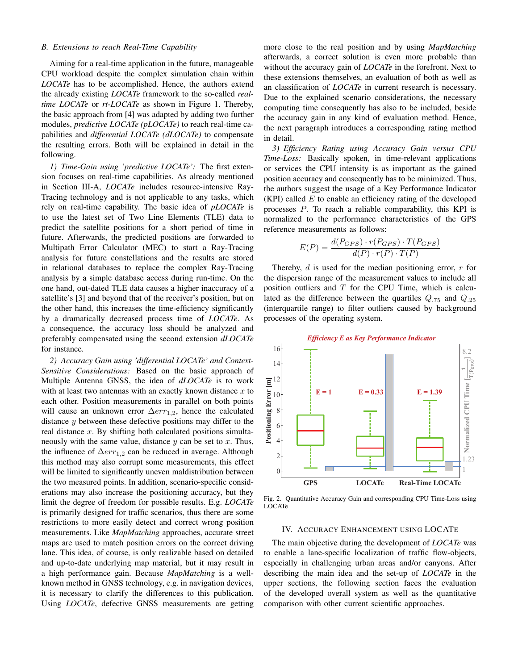## *B. Extensions to reach Real-Time Capability*

Aiming for a real-time application in the future, manageable CPU workload despite the complex simulation chain within *LOCATe* has to be accomplished. Hence, the authors extend the already existing *LOCATe* framework to the so-called *realtime LOCATe* or *rt-LOCATe* as shown in Figure 1. Thereby, the basic approach from [4] was adapted by adding two further modules, *predictive LOCATe (pLOCATe)* to reach real-time capabilities and *differential LOCATe (dLOCATe)* to compensate the resulting errors. Both will be explained in detail in the following.

*1) Time-Gain using 'predictive LOCATe':* The first extension focuses on real-time capabilities. As already mentioned in Section III-A, *LOCATe* includes resource-intensive Ray-Tracing technology and is not applicable to any tasks, which rely on real-time capability. The basic idea of *pLOCATe* is to use the latest set of Two Line Elements (TLE) data to predict the satellite positions for a short period of time in future. Afterwards, the predicted positions are forwarded to Multipath Error Calculator (MEC) to start a Ray-Tracing analysis for future constellations and the results are stored in relational databases to replace the complex Ray-Tracing analysis by a simple database access during run-time. On the one hand, out-dated TLE data causes a higher inaccuracy of a satellite's [3] and beyond that of the receiver's position, but on the other hand, this increases the time-efficiency significantly by a dramatically decreased process time of *LOCATe*. As a consequence, the accuracy loss should be analyzed and preferably compensated using the second extension *dLOCATe* for instance.

*2) Accuracy Gain using 'differential LOCATe' and Context-Sensitive Considerations:* Based on the basic approach of Multiple Antenna GNSS, the idea of *dLOCATe* is to work with at least two antennas with an exactly known distance  $x$  to each other. Position measurements in parallel on both points will cause an unknown error  $\Delta err_{1,2}$ , hence the calculated distance y between these defective positions may differ to the real distance  $x$ . By shifting both calculated positions simultaneously with the same value, distance  $y$  can be set to  $x$ . Thus, the influence of  $\Delta err_{1,2}$  can be reduced in average. Although this method may also corrupt some measurements, this effect will be limited to significantly uneven maldistribution between the two measured points. In addition, scenario-specific considerations may also increase the positioning accuracy, but they limit the degree of freedom for possible results. E.g. *LOCATe* is primarily designed for traffic scenarios, thus there are some restrictions to more easily detect and correct wrong position measurements. Like *MapMatching* approaches, accurate street maps are used to match position errors on the correct driving lane. This idea, of course, is only realizable based on detailed and up-to-date underlying map material, but it may result in a high performance gain. Because *MapMatching* is a wellknown method in GNSS technology, e.g. in navigation devices, it is necessary to clarify the differences to this publication. Using *LOCATe*, defective GNSS measurements are getting

more close to the real position and by using *MapMatching* afterwards, a correct solution is even more probable than without the accuracy gain of *LOCATe* in the forefront. Next to these extensions themselves, an evaluation of both as well as an classification of *LOCATe* in current research is necessary. Due to the explained scenario considerations, the necessary computing time consequently has also to be included, beside the accuracy gain in any kind of evaluation method. Hence, the next paragraph introduces a corresponding rating method in detail.

*3) Efficiency Rating using Accuracy Gain versus CPU Time-Loss:* Basically spoken, in time-relevant applications or services the CPU intensity is as important as the gained position accuracy and consequently has to be minimized. Thus, the authors suggest the usage of a Key Performance Indicator  $(KPI)$  called  $E$  to enable an efficiency rating of the developed processes P. To reach a reliable comparability, this KPI is normalized to the performance characteristics of the GPS reference measurements as follows:

$$
E(P) = \frac{d(P_{GPS}) \cdot r(P_{GPS}) \cdot T(P_{GPS})}{d(P) \cdot r(P) \cdot T(P)}
$$

Thereby,  $d$  is used for the median positioning error,  $r$  for the dispersion range of the measurement values to include all position outliers and  $T$  for the CPU Time, which is calculated as the difference between the quartiles  $Q_{.75}$  and  $Q_{.25}$ (interquartile range) to filter outliers caused by background processes of the operating system.



Fig. 2. Quantitative Accuracy Gain and corresponding CPU Time-Loss using LOCATe

#### IV. ACCURACY ENHANCEMENT USING LOCATE

The main objective during the development of *LOCATe* was to enable a lane-specific localization of traffic flow-objects, especially in challenging urban areas and/or canyons. After describing the main idea and the set-up of *LOCATe* in the upper sections, the following section faces the evaluation of the developed overall system as well as the quantitative comparison with other current scientific approaches.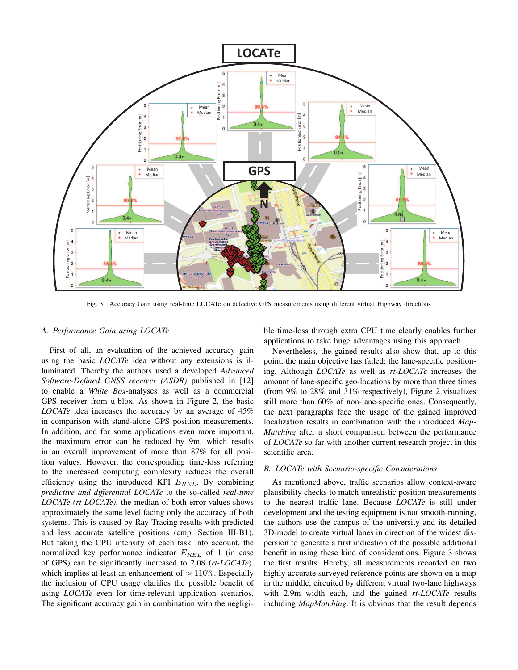

Fig. 3. Accuracy Gain using real-time LOCATe on defective GPS measurements using different virtual Highway directions

#### *A. Performance Gain using LOCATe*

First of all, an evaluation of the achieved accuracy gain using the basic *LOCATe* idea without any extensions is illuminated. Thereby the authors used a developed *Advanced Software-Defined GNSS receiver (ASDR)* published in [12] to enable a *White Box*-analyses as well as a commercial GPS receiver from u-blox. As shown in Figure 2, the basic *LOCATe* idea increases the accuracy by an average of 45% in comparison with stand-alone GPS position measurements. In addition, and for some applications even more important, the maximum error can be reduced by 9m, which results in an overall improvement of more than 87% for all position values. However, the corresponding time-loss referring to the increased computing complexity reduces the overall efficiency using the introduced KPI  $E_{REL}$ . By combining *predictive and differential LOCATe* to the so-called *real-time LOCATe (rt-LOCATe)*, the median of both error values shows approximately the same level facing only the accuracy of both systems. This is caused by Ray-Tracing results with predicted and less accurate satellite positions (cmp. Section III-B1). But taking the CPU intensity of each task into account, the normalized key performance indicator  $E_{REL}$  of 1 (in case of GPS) can be significantly increased to 2,08 (*rt-LOCATe*), which implies at least an enhancement of  $\approx 110\%$ . Especially the inclusion of CPU usage clarifies the possible benefit of using *LOCATe* even for time-relevant application scenarios. The significant accuracy gain in combination with the negligible time-loss through extra CPU time clearly enables further applications to take huge advantages using this approach.

Nevertheless, the gained results also show that, up to this point, the main objective has failed: the lane-specific positioning. Although *LOCATe* as well as *rt-LOCATe* increases the amount of lane-specific geo-locations by more than three times (from 9% to 28% and 31% respectively), Figure 2 visualizes still more than 60% of non-lane-specific ones. Consequently, the next paragraphs face the usage of the gained improved localization results in combination with the introduced *Map-Matching* after a short comparison between the performance of *LOCATe* so far with another current research project in this scientific area.

# *B. LOCATe with Scenario-specific Considerations*

As mentioned above, traffic scenarios allow context-aware plausibility checks to match unrealistic position measurements to the nearest traffic lane. Because *LOCATe* is still under development and the testing equipment is not smooth-running, the authors use the campus of the university and its detailed 3D-model to create virtual lanes in direction of the widest dispersion to generate a first indication of the possible additional benefit in using these kind of considerations. Figure 3 shows the first results. Hereby, all measurements recorded on two highly accurate surveyed reference points are shown on a map in the middle, circuited by different virtual two-lane highways with 2.9m width each, and the gained *rt-LOCATe* results including *MapMatching*. It is obvious that the result depends